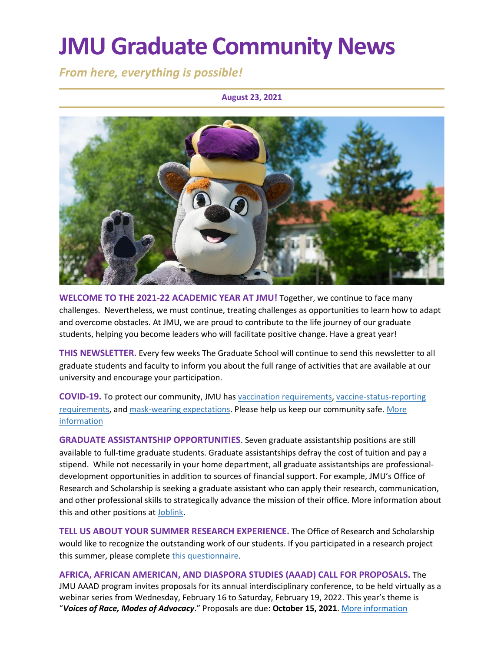# **JMU Graduate Community News**

*From here, everything is possible!*

### **August 23, 2021**



**WELCOME TO THE 2021-22 ACADEMIC YEAR AT JMU!** Together, we continue to face many challenges. Nevertheless, we must continue, treating challenges as opportunities to learn how to adapt and overcome obstacles. At JMU, we are proud to contribute to the life journey of our graduate students, helping you become leaders who will facilitate positive change. Have a great year!

**THIS NEWSLETTER.** Every few weeks The Graduate School will continue to send this newsletter to all graduate students and faculty to inform you about the full range of activities that are available at our university and encourage your participation.

**COVID-19.** To protect our community, JMU has [vaccination requirements,](https://www.jmu.edu/stop-the-spread/students/covid-vaccine-faq.shtml) [vaccine-status-reporting](https://www.jmu.edu/stop-the-spread/students/covid-vaccine-faq.shtml#Set-2-A)  [requirements,](https://www.jmu.edu/stop-the-spread/students/covid-vaccine-faq.shtml#Set-2-A) and [mask-wearing expectations.](https://www.jmu.edu/stop-the-spread/students/student-mask-faqs.shtml) Please help us keep our community safe. [More](https://www.jmu.edu/stop-the-spread/index.shtml)  [information](https://www.jmu.edu/stop-the-spread/index.shtml) 

**GRADUATE ASSISTANTSHIP OPPORTUNITIES**. Seven graduate assistantship positions are still available to full-time graduate students. Graduate assistantships defray the cost of tuition and pay a stipend. While not necessarily in your home department, all graduate assistantships are professionaldevelopment opportunities in addition to sources of financial support. For example, JMU's Office of Research and Scholarship is seeking a graduate assistant who can apply their research, communication, and other professional skills to strategically advance the mission of their office. More information about this and other positions a[t Joblink.](https://joblink.jmu.edu/)

**TELL US ABOUT YOUR SUMMER RESEARCH EXPERIENCE.** The Office of Research and Scholarship would like to recognize the outstanding work of our students. If you participated in a research project this summer, please complete [this questionnaire.](https://jmusummerresearch.questionpro.com/)

**AFRICA, AFRICAN AMERICAN, AND DIASPORA STUDIES (AAAD) CALL FOR PROPOSALS.** The JMU AAAD program invites proposals for its annual interdisciplinary conference, to be held virtually as a webinar series from Wednesday, February 16 to Saturday, February 19, 2022. This year's theme is "*Voices of Race, Modes of Advocacy*." Proposals are due: **October 15, 2021**. [More information](https://sites.lib.jmu.edu/aaadjmu/)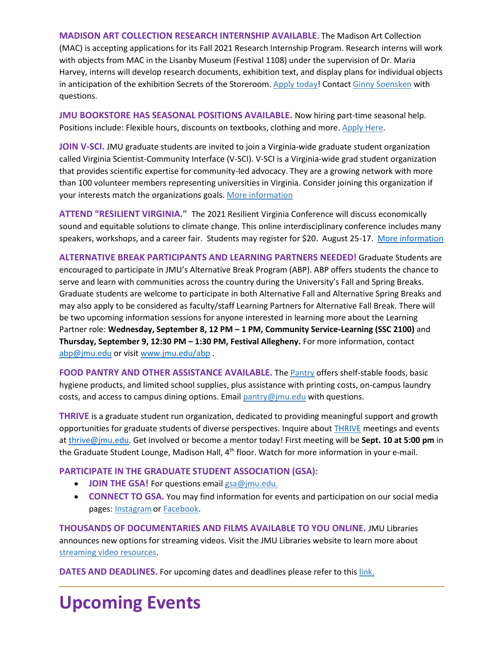**MADISON ART COLLECTION RESEARCH INTERNSHIP AVAILABLE**. The Madison Art Collection (MAC) is accepting applications for its Fall 2021 Research Internship Program. Research interns will work with objects from MAC in the Lisanby Museum (Festival 1108) under the supervision of Dr. Maria Harvey, interns will develop research documents, exhibition text, and display plans for individual objects in anticipation of the exhibition Secrets of the Storeroom. [Apply today!](https://docs.google.com/forms/d/e/1FAIpQLSf4qWs8tNR7c6iVnlNQY-bE2mwHe407elib2SxdOQUQB2GDTA/viewform) Contact [Ginny Soensken](mailto:soenksvm@jmu.edu) with questions.

**JMU BOOKSTORE HAS SEASONAL POSITIONS AVAILABLE.** Now hiring part-time seasonal help. Positions include: Flexible hours, discounts on textbooks, clothing and more[. Apply Here.](https://jobs.smartrecruiters.com/NXTThingRPOLLC/743999759554621-seasonal-retail-team-member-james-madison-university-bookstore-f712?trid=349536f3-f817-4047-a17a-981ae39a3d0a)

**JOIN V-SCI.** JMU graduate students are invited to join a Virginia-wide graduate student organization called Virginia Scientist-Community Interface (V-SCI). V-SCI is a Virginia-wide grad student organization that provides scientific expertise for community-led advocacy. They are a growing network with more than 100 volunteer members representing universities in Virginia. Consider joining this organization if your interests match the organizations goals[. More information](https://virginiasci.org/)

**ATTEND "RESILIENT VIRGINIA."** The 2021 Resilient Virginia Conference will discuss economically sound and equitable solutions to climate change. This online interdisciplinary conference includes many speakers, workshops, and a career fair. Students may register for \$20. August 25-17. [More information](https://resilientvirginia.org/resources/events/2021-resilient-virginia-conference)

**ALTERNATIVE BREAK PARTICIPANTS AND LEARNING PARTNERS NEEDED!** Graduate Students are encouraged to participate in JMU's Alternative Break Program (ABP). ABP offers students the chance to serve and learn with communities across the country during the University's Fall and Spring Breaks. Graduate students are welcome to participate in both Alternative Fall and Alternative Spring Breaks and may also apply to be considered as faculty/staff Learning Partners for Alternative Fall Break. There will be two upcoming information sessions for anyone interested in learning more about the Learning Partner role: **Wednesday, September 8, 12 PM – 1 PM, Community Service-Learning (SSC 2100)** and **Thursday, September 9, 12:30 PM – 1:30 PM, Festival Allegheny.** For more information, contact [abp@jmu.edu](mailto:abp@jmu.edu) or visit [www.jmu.edu/abp](http://www.jmu.edu/abp) .

**FOOD PANTRY AND OTHER ASSISTANCE AVAILABLE.** The [Pantry](https://info.jmu.edu/ocl/pop-up-pantry/) offers shelf-stable foods, basic hygiene products, and limited school supplies, plus assistance with printing costs, on-campus laundry costs, and access to campus dining options. Emai[l pantry@jmu.edu](mailto:pantry@jmu.edu) with questions.

**THRIVE** is a graduate student run organization, dedicated to providing meaningful support and growth opportunities for graduate students of diverse perspectives. Inquire about [THRIVE](https://www.jmu.edu/grad/THRIVE/index.shtml) meetings and events a[t thrive@jmu.edu.](mailto:thrive@jmu.edu) Get involved or become a mentor today! First meeting will be **Sept. 10 at 5:00 pm** in the Graduate Student Lounge, Madison Hall, 4<sup>th</sup> floor. Watch for more information in your e-mail.

### **PARTICIPATE IN THE GRADUATE STUDENT ASSOCIATION (GSA):**

- **JOIN THE GSA!** For questions emai[l gsa@jmu.edu.](mailto:gsa@jmu.edu)
- **CONNECT TO GSA.** You may find information for events and participation on our social media pages: [Instagram](https://www.instagram.com/jmu_gsa/) or [Facebook.](https://www.facebook.com/JMUGSA/)

**THOUSANDS OF DOCUMENTARIES AND FILMS AVAILABLE TO YOU ONLINE.** JMU Libraries announces new options for streaming videos. Visit the JMU Libraries website to learn more about [streaming video resources.](https://guides.lib.jmu.edu/az.php?t=24588&utm_source=staff-monthly&utm_medium=email&utm_campaign=2021_01_06&utm_content=text_additional-streaming-video-resources)

**DATES AND DEADLINES.** For upcoming dates and deadlines please refer to thi[s link.](https://www.jmu.edu/registrar/academic-calendar.shtml)

## **Upcoming Events**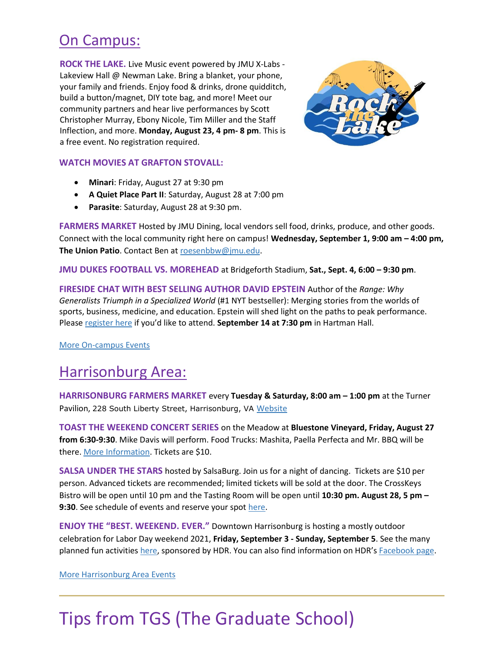### On Campus:

**ROCK THE LAKE.** Live Music event powered by JMU X-Labs - Lakeview Hall @ Newman Lake. Bring a blanket, your phone, your family and friends. Enjoy food & drinks, drone quidditch, build a button/magnet, DIY tote bag, and more! Meet our community partners and hear live performances by Scott Christopher Murray, Ebony Nicole, Tim Miller and the Staff Inflection, and more. **Monday, August 23, 4 pm- 8 pm**. This is a free event. No registration required.



### **WATCH MOVIES AT GRAFTON STOVALL:**

- **Minari**: Friday, August 27 at 9:30 pm
- **A Quiet Place Part II**: Saturday, August 28 at 7:00 pm
- **Parasite**: Saturday, August 28 at 9:30 pm.

**FARMERS MARKET** Hosted by JMU Dining, local vendors sell food, drinks, produce, and other goods. Connect with the local community right here on campus! **Wednesday, September 1, 9:00 am – 4:00 pm, The Union Patio**. Contact Ben at [roesenbbw@jmu.edu.](mailto:roesenbbw@jmu.edu)

**JMU DUKES FOOTBALL VS. MOREHEAD** at Bridgeforth Stadium, **Sat., Sept. 4, 6:00 – 9:30 pm**.

**FIRESIDE CHAT WITH BEST SELLING AUTHOR DAVID EPSTEIN** Author of the *Range: Why Generalists Triumph in a Specialized World* (#1 NYT bestseller): Merging stories from the worlds of sports, business, medicine, and education. Epstein will shed light on the paths to peak performance. Please [register here](https://www.jmu.edu/cob/centers/center-for-entrepreneurship/events/speaker-david-epstein.shtml) if you'd like to attend. **September 14 at 7:30 pm** in Hartman Hall.

[More On-campus Events](https://ems.jmu.edu/MasterCalendar/MasterCalendar.aspx?_ga=2.261279492.802742690.1601384782-920476218.1518451077)

### Harrisonburg Area:

**HARRISONBURG FARMERS MARKET** every **Tuesday & Saturday, 8:00 am – 1:00 pm** at the Turner Pavilion, 228 South Liberty Street, Harrisonburg, VA [Website](https://www.harrisonburgfarmersmarket.com/)

**TOAST THE WEEKEND CONCERT SERIES** on the Meadow at **Bluestone Vineyard, Friday, August 27 from 6:30-9:30**. Mike Davis will perform. Food Trucks: Mashita, Paella Perfecta and Mr. BBQ will be there. [More Information.](https://www.bluestonevineyard.com/toasttheweekend.html) Tickets are \$10.

**SALSA UNDER THE STARS** hosted by SalsaBurg. Join us for a night of dancing. Tickets are \$10 per person. Advanced tickets are recommended; limited tickets will be sold at the door. The CrossKeys Bistro will be open until 10 pm and the Tasting Room will be open until **10:30 pm. August 28, 5 pm – 9:30**. See schedule of events and reserve your spo[t here.](https://tables.hostmeapp.com/restaurants/25508)

**ENJOY THE "BEST. WEEKEND. EVER."** Downtown Harrisonburg is hosting a mostly outdoor celebration for Labor Day weekend 2021, **Friday, September 3 - Sunday, September 5**. See the many planned fun activities [here,](https://downtownharrisonburg.org/best-weekend-ever/?mc_cid=24b4058fdb&mc_eid=1f4d635f6f) sponsored by HDR. You can also find information on HDR's [Facebook](https://www.facebook.com/groups/526210581906762) page.

[More Harrisonburg Area Events](https://www.visitharrisonburgva.com/calendar-of-events/)

# Tips from TGS (The Graduate School)